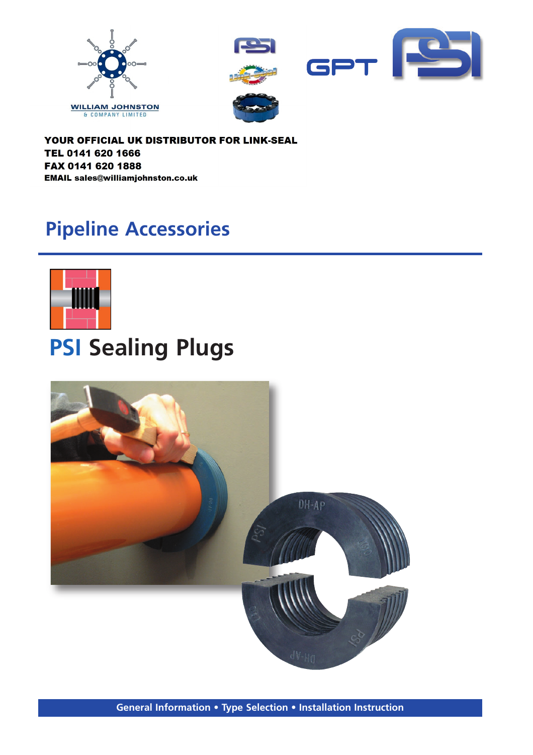



YOUR OFFICIAL UK DISTRIBUTOR FOR LINK-SEAL TEL 0141 620 1666 FAX 0141 620 1888 **EMAIL sales@williamjohnston.co.uk** 

## **Pipeline Accessories**



# **PSI Sealing Plugs**

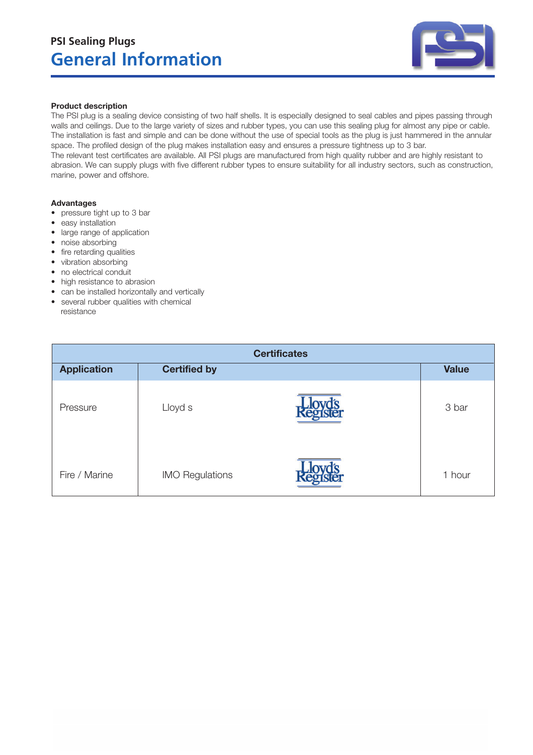

#### **Product description**

The PSI plug is a sealing device consisting of two half shells. It is especially designed to seal cables and pipes passing through walls and ceilings. Due to the large variety of sizes and rubber types, you can use this sealing plug for almost any pipe or cable. The installation is fast and simple and can be done without the use of special tools as the plug is just hammered in the annular space. The profiled design of the plug makes installation easy and ensures a pressure tightness up to 3 bar. The relevant test certificates are available. All PSI plugs are manufactured from high quality rubber and are highly resistant to abrasion. We can supply plugs with five different rubber types to ensure suitability for all industry sectors, such as construction, marine, power and offshore.

#### **Advantages**

- pressure tight up to 3 bar
- easy installation
- large range of application
- noise absorbing
- fire retarding qualities
- vibration absorbing
- no electrical conduit
- high resistance to abrasion
- can be installed horizontally and vertically
- several rubber qualities with chemical resistance

| <b>Certificates</b> |                        |  |              |  |  |
|---------------------|------------------------|--|--------------|--|--|
| <b>Application</b>  | <b>Certified by</b>    |  | <b>Value</b> |  |  |
| Pressure            | Lloyd s                |  | 3 bar        |  |  |
| Fire / Marine       | <b>IMO Regulations</b> |  | 1 hour       |  |  |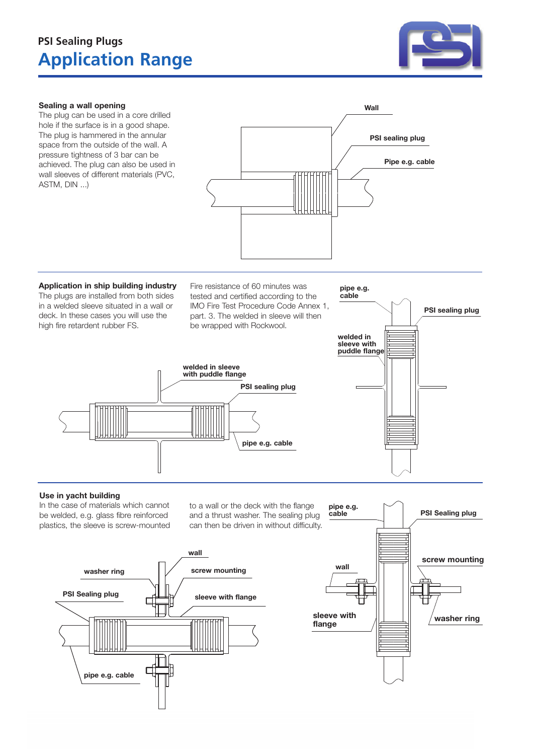### **Application Range PSI Sealing Plugs**



#### **Sealing a wall opening**

The plug can be used in a core drilled hole if the surface is in a good shape. The plug is hammered in the annular space from the outside of the wall. A pressure tightness of 3 bar can be achieved. The plug can also be used in wall sleeves of different materials (PVC, ASTM, DIN ...)



**Application in ship building industry** The plugs are installed from both sides in a welded sleeve situated in a wall or deck. In these cases you will use the high fire retardent rubber FS.

Fire resistance of 60 minutes was tested and certified according to the IMO Fire Test Procedure Code Annex 1, part. 3. The welded in sleeve will then be wrapped with Rockwool.

**welded in sleeve with puddle flange**



#### **Use in yacht building**

In the case of materials which cannot be welded, e.g. glass fibre reinforced plastics, the sleeve is screw-mounted to a wall or the deck with the flange and a thrust washer. The sealing plug can then be driven in without difficulty.

**pipe e.g. cable**

**PSI sealing plug**



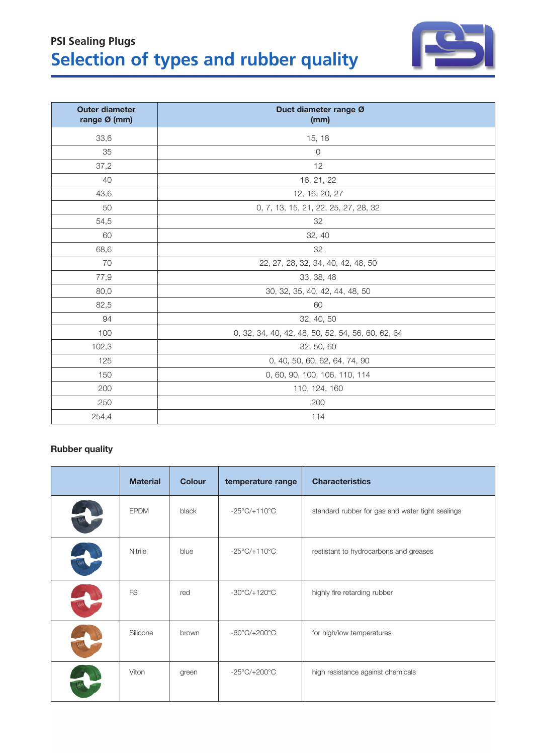| <b>Outer diameter</b><br>range Ø (mm) | Duct diameter range Ø<br>(mm)                     |  |
|---------------------------------------|---------------------------------------------------|--|
| 33,6                                  | 15, 18                                            |  |
| 35                                    | $\circ$                                           |  |
| 37,2                                  | 12                                                |  |
| 40                                    | 16, 21, 22                                        |  |
| 43,6                                  | 12, 16, 20, 27                                    |  |
| 50                                    | 0, 7, 13, 15, 21, 22, 25, 27, 28, 32              |  |
| 54,5                                  | 32                                                |  |
| 60                                    | 32, 40                                            |  |
| 68,6                                  | 32                                                |  |
| 70                                    | 22, 27, 28, 32, 34, 40, 42, 48, 50                |  |
| 77,9                                  | 33, 38, 48                                        |  |
| 80,0                                  | 30, 32, 35, 40, 42, 44, 48, 50                    |  |
| 82,5                                  | 60                                                |  |
| 94                                    | 32, 40, 50                                        |  |
| 100                                   | 0, 32, 34, 40, 42, 48, 50, 52, 54, 56, 60, 62, 64 |  |
| 102,3                                 | 32, 50, 60                                        |  |
| 125                                   | 0, 40, 50, 60, 62, 64, 74, 90                     |  |
| 150                                   | 0, 60, 90, 100, 106, 110, 114                     |  |
| 200                                   | 110, 124, 160                                     |  |
| 250                                   | 200                                               |  |
| 254,4                                 | 114                                               |  |

### **Selection of types and rubber quality PSI Sealing Plugs**

#### **Rubber quality**

| <b>Material</b> | <b>Colour</b> | temperature range                 | <b>Characteristics</b>                           |
|-----------------|---------------|-----------------------------------|--------------------------------------------------|
| <b>EPDM</b>     | black         | $-25^{\circ}$ C/+110 $^{\circ}$ C | standard rubber for gas and water tight sealings |
| Nitrile         | blue          | $-25^{\circ}$ C/+110 $^{\circ}$ C | restistant to hydrocarbons and greases           |
| <b>FS</b>       | red           | $-30^{\circ}$ C/ $+120^{\circ}$ C | highly fire retarding rubber                     |
| Silicone        | brown         | $-60^{\circ}$ C/ $+200^{\circ}$ C | for high/low temperatures                        |
| Viton           | green         | $-25^{\circ}$ C/+200 $^{\circ}$ C | high resistance against chemicals                |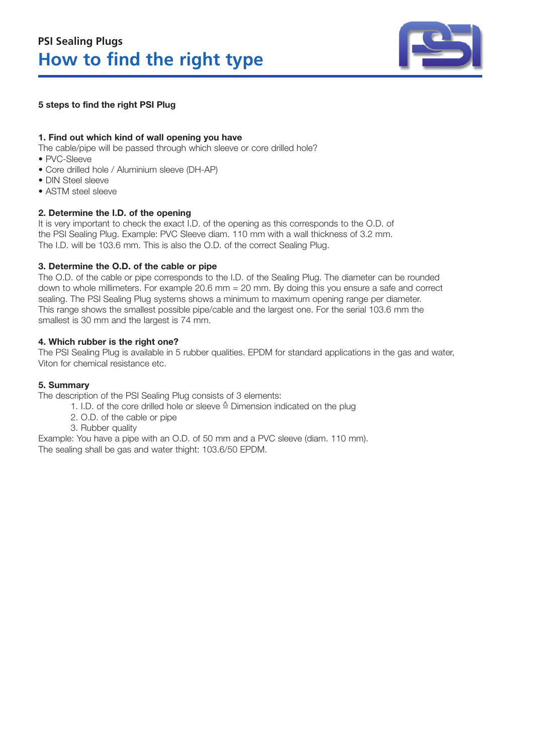

#### **5 steps to find the right PSI Plug**

#### **1. Find out which kind of wall opening you have**

The cable/pipe will be passed through which sleeve or core drilled hole?

- PVC-Sleeve
- Core drilled hole / Aluminium sleeve (DH-AP)
- DIN Steel sleeve
- ASTM steel sleeve

#### **2. Determine the I.D. of the opening**

It is very important to check the exact I.D. of the opening as this corresponds to the O.D. of the PSI Sealing Plug. Example: PVC Sleeve diam. 110 mm with a wall thickness of 3.2 mm. The I.D. will be 103.6 mm. This is also the O.D. of the correct Sealing Plug.

#### **3. Determine the O.D. of the cable or pipe**

The O.D. of the cable or pipe corresponds to the I.D. of the Sealing Plug. The diameter can be rounded down to whole millimeters. For example 20.6 mm = 20 mm. By doing this you ensure a safe and correct sealing. The PSI Sealing Plug systems shows a minimum to maximum opening range per diameter. This range shows the smallest possible pipe/cable and the largest one. For the serial 103.6 mm the smallest is 30 mm and the largest is 74 mm.

#### **4. Which rubber is the right one?**

The PSI Sealing Plug is available in 5 rubber qualities. EPDM for standard applications in the gas and water, Viton for chemical resistance etc.

#### **5. Summary**

The description of the PSI Sealing Plug consists of 3 elements:

- 1. I.D. of the core drilled hole or sleeve  $\triangleq$  Dimension indicated on the plug
- 2. O.D. of the cable or pipe
- 3. Rubber quality

Example: You have a pipe with an O.D. of 50 mm and a PVC sleeve (diam. 110 mm). The sealing shall be gas and water thight: 103.6/50 EPDM.